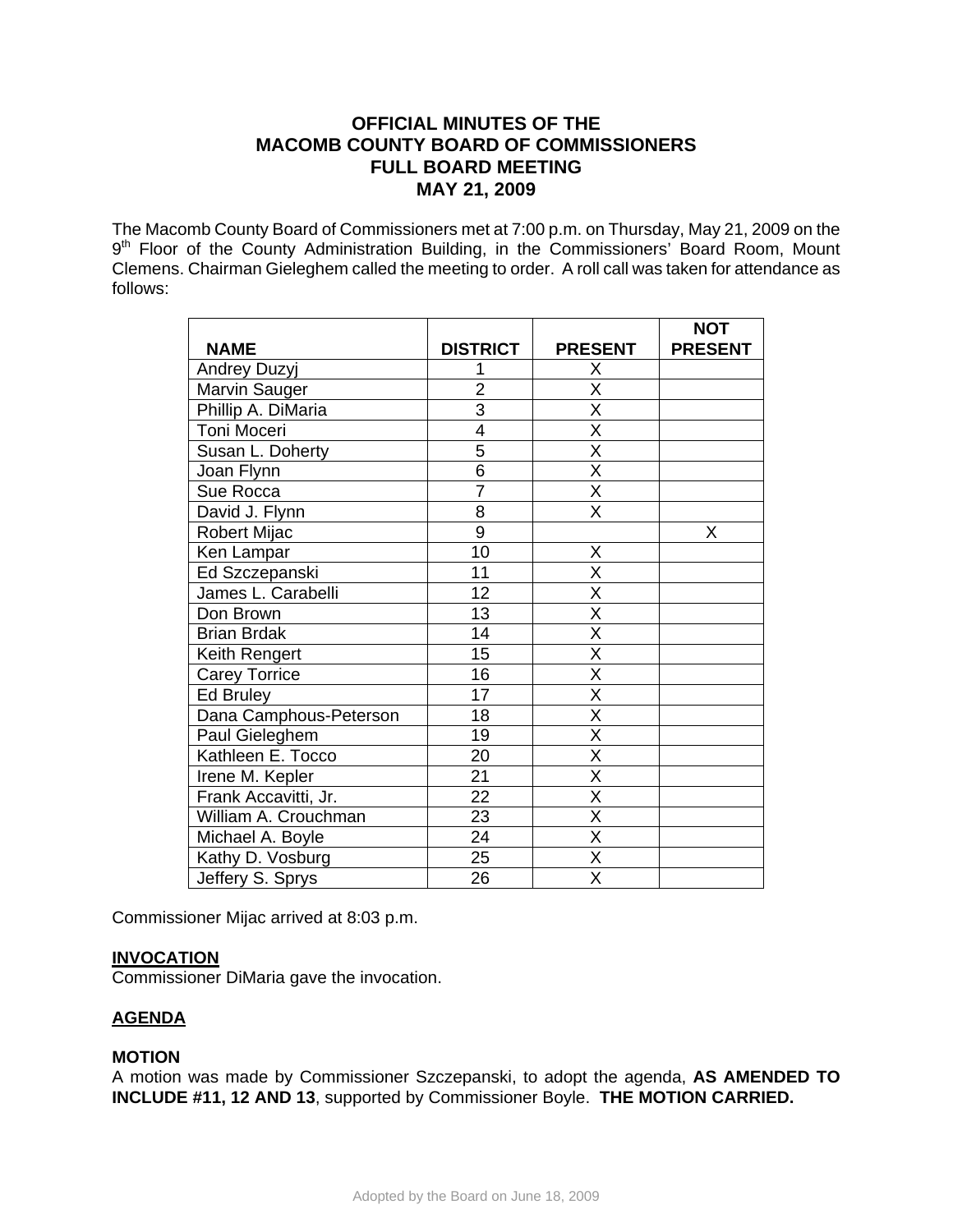# **OFFICIAL MINUTES OF THE MACOMB COUNTY BOARD OF COMMISSIONERS FULL BOARD MEETING MAY 21, 2009**

The Macomb County Board of Commissioners met at 7:00 p.m. on Thursday, May 21, 2009 on the 9<sup>th</sup> Floor of the County Administration Building, in the Commissioners' Board Room, Mount Clemens. Chairman Gieleghem called the meeting to order. A roll call was taken for attendance as follows:

|                        |                 |                         | <b>NOT</b>     |
|------------------------|-----------------|-------------------------|----------------|
| <b>NAME</b>            | <b>DISTRICT</b> | <b>PRESENT</b>          | <b>PRESENT</b> |
| Andrey Duzyj           |                 | Х                       |                |
| Marvin Sauger          | $\overline{2}$  | X                       |                |
| Phillip A. DiMaria     | $\overline{3}$  | $\overline{\mathsf{x}}$ |                |
| Toni Moceri            | $\overline{4}$  | $\overline{\mathsf{x}}$ |                |
| Susan L. Doherty       | $\overline{5}$  | X                       |                |
| Joan Flynn             | $\overline{6}$  | $\overline{\mathsf{x}}$ |                |
| Sue Rocca              | $\overline{7}$  | $\overline{\mathsf{X}}$ |                |
| David J. Flynn         | 8               | X                       |                |
| Robert Mijac           | $\overline{9}$  |                         | Χ              |
| Ken Lampar             | 10              | X                       |                |
| Ed Szczepanski         | 11              | $\overline{\mathsf{x}}$ |                |
| James L. Carabelli     | 12              | X                       |                |
| Don Brown              | 13              | $\overline{\mathsf{x}}$ |                |
| <b>Brian Brdak</b>     | 14              | $\overline{\mathsf{x}}$ |                |
| Keith Rengert          | 15              | $\overline{\mathsf{x}}$ |                |
| <b>Carey Torrice</b>   | 16              | $\overline{\mathsf{x}}$ |                |
| Ed Bruley              | 17              | $\overline{\mathsf{x}}$ |                |
| Dana Camphous-Peterson | 18              | X                       |                |
| Paul Gieleghem         | 19              | $\overline{\mathsf{x}}$ |                |
| Kathleen E. Tocco      | 20              | $\overline{\mathsf{x}}$ |                |
| Irene M. Kepler        | 21              | X                       |                |
| Frank Accavitti, Jr.   | $\overline{22}$ | $\overline{\mathsf{x}}$ |                |
| William A. Crouchman   | 23              | X                       |                |
| Michael A. Boyle       | 24              | X                       |                |
| Kathy D. Vosburg       | 25              | $\overline{\mathsf{x}}$ |                |
| Jeffery S. Sprys       | 26              | X                       |                |

Commissioner Mijac arrived at 8:03 p.m.

# **INVOCATION**

Commissioner DiMaria gave the invocation.

# **AGENDA**

## **MOTION**

A motion was made by Commissioner Szczepanski, to adopt the agenda, **AS AMENDED TO INCLUDE #11, 12 AND 13**, supported by Commissioner Boyle. **THE MOTION CARRIED.**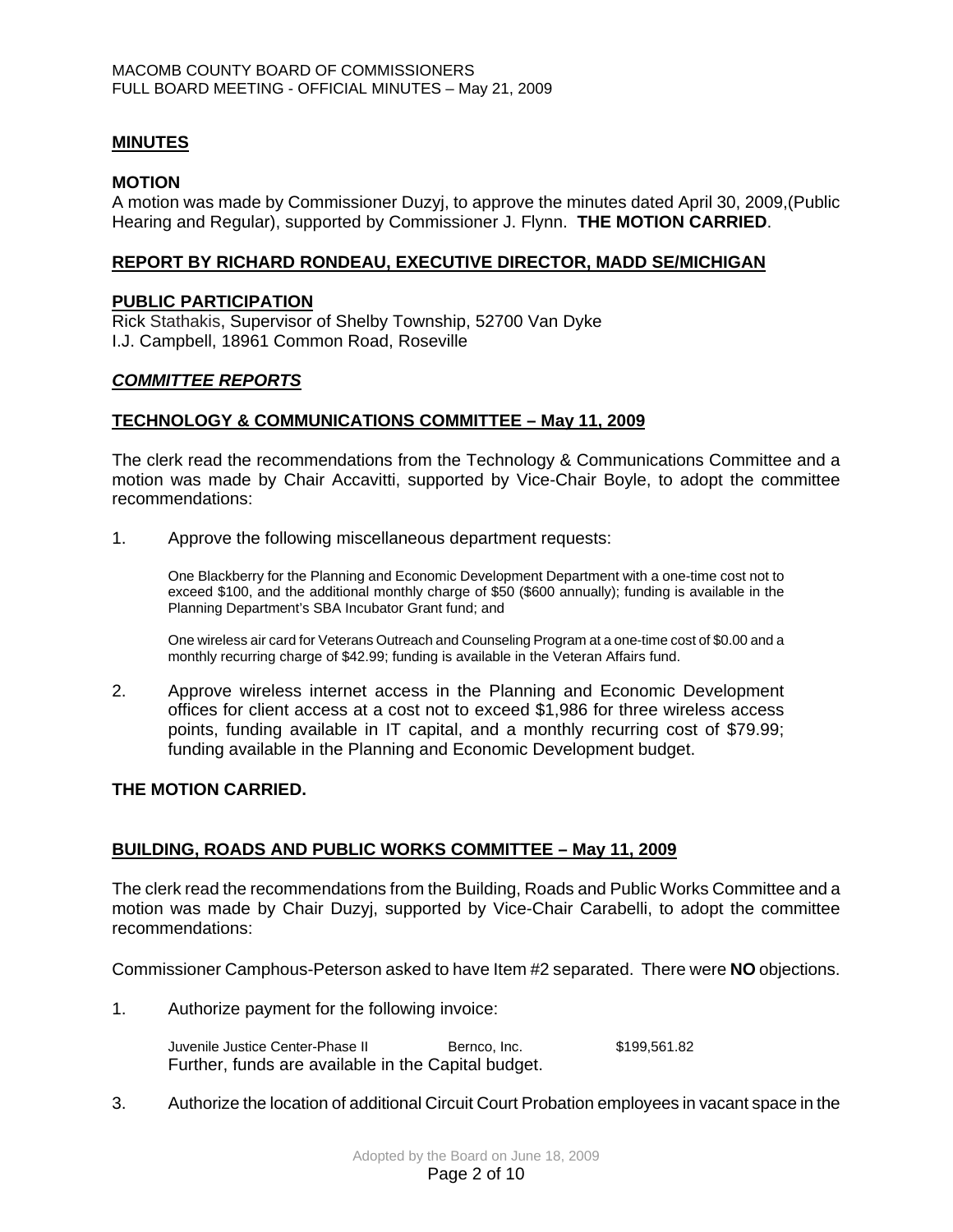## **MINUTES**

### **MOTION**

A motion was made by Commissioner Duzyj, to approve the minutes dated April 30, 2009,(Public Hearing and Regular), supported by Commissioner J. Flynn. **THE MOTION CARRIED**.

### **REPORT BY RICHARD RONDEAU, EXECUTIVE DIRECTOR, MADD SE/MICHIGAN**

#### **PUBLIC PARTICIPATION**

Rick Stathakis, Supervisor of Shelby Township, 52700 Van Dyke I.J. Campbell, 18961 Common Road, Roseville

## *COMMITTEE REPORTS*

### **TECHNOLOGY & COMMUNICATIONS COMMITTEE – May 11, 2009**

The clerk read the recommendations from the Technology & Communications Committee and a motion was made by Chair Accavitti, supported by Vice-Chair Boyle, to adopt the committee recommendations:

1. Approve the following miscellaneous department requests:

One Blackberry for the Planning and Economic Development Department with a one-time cost not to exceed \$100, and the additional monthly charge of \$50 (\$600 annually); funding is available in the Planning Department's SBA Incubator Grant fund; and

One wireless air card for Veterans Outreach and Counseling Program at a one-time cost of \$0.00 and a monthly recurring charge of \$42.99; funding is available in the Veteran Affairs fund.

2. Approve wireless internet access in the Planning and Economic Development offices for client access at a cost not to exceed \$1,986 for three wireless access points, funding available in IT capital, and a monthly recurring cost of \$79.99; funding available in the Planning and Economic Development budget.

#### **THE MOTION CARRIED.**

## **BUILDING, ROADS AND PUBLIC WORKS COMMITTEE – May 11, 2009**

The clerk read the recommendations from the Building, Roads and Public Works Committee and a motion was made by Chair Duzyj, supported by Vice-Chair Carabelli, to adopt the committee recommendations:

Commissioner Camphous-Peterson asked to have Item #2 separated. There were **NO** objections.

1. Authorize payment for the following invoice:

Juvenile Justice Center-Phase II Bernco, Inc. \$199,561.82 Further, funds are available in the Capital budget.

3. Authorize the location of additional Circuit Court Probation employees in vacant space in the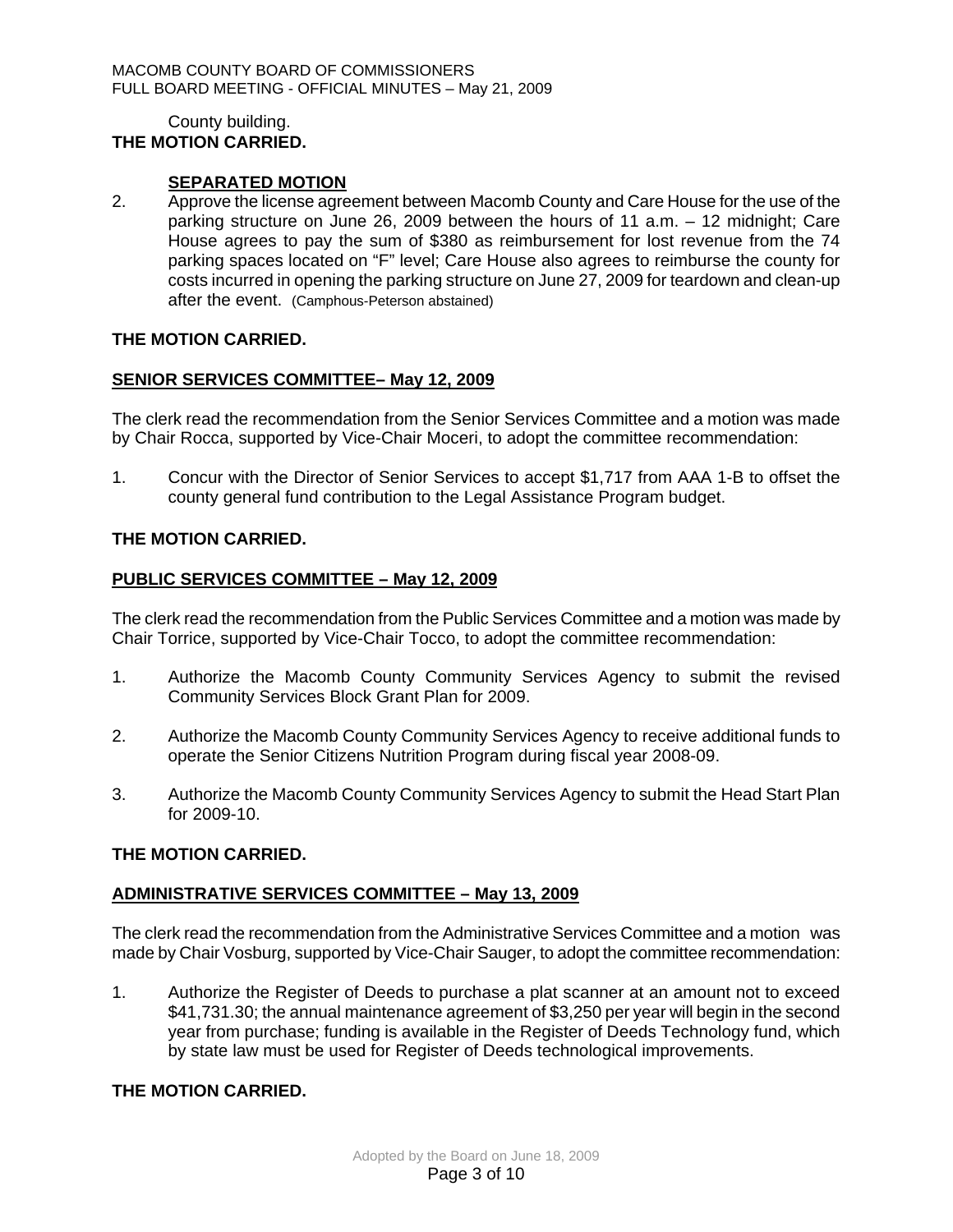#### County building. **THE MOTION CARRIED.**

## **SEPARATED MOTION**

2. Approve the license agreement between Macomb County and Care House for the use of the parking structure on June 26, 2009 between the hours of 11 a.m. – 12 midnight; Care House agrees to pay the sum of \$380 as reimbursement for lost revenue from the 74 parking spaces located on "F" level; Care House also agrees to reimburse the county for costs incurred in opening the parking structure on June 27, 2009 for teardown and clean-up after the event. (Camphous-Peterson abstained)

### **THE MOTION CARRIED.**

### **SENIOR SERVICES COMMITTEE– May 12, 2009**

The clerk read the recommendation from the Senior Services Committee and a motion was made by Chair Rocca, supported by Vice-Chair Moceri, to adopt the committee recommendation:

1. Concur with the Director of Senior Services to accept \$1,717 from AAA 1-B to offset the county general fund contribution to the Legal Assistance Program budget.

### **THE MOTION CARRIED.**

### **PUBLIC SERVICES COMMITTEE – May 12, 2009**

The clerk read the recommendation from the Public Services Committee and a motion was made by Chair Torrice, supported by Vice-Chair Tocco, to adopt the committee recommendation:

- 1. Authorize the Macomb County Community Services Agency to submit the revised Community Services Block Grant Plan for 2009.
- 2. Authorize the Macomb County Community Services Agency to receive additional funds to operate the Senior Citizens Nutrition Program during fiscal year 2008-09.
- 3. Authorize the Macomb County Community Services Agency to submit the Head Start Plan for 2009-10.

## **THE MOTION CARRIED.**

## **ADMINISTRATIVE SERVICES COMMITTEE – May 13, 2009**

The clerk read the recommendation from the Administrative Services Committee and a motion was made by Chair Vosburg, supported by Vice-Chair Sauger, to adopt the committee recommendation:

1. Authorize the Register of Deeds to purchase a plat scanner at an amount not to exceed \$41,731.30; the annual maintenance agreement of \$3,250 per year will begin in the second year from purchase; funding is available in the Register of Deeds Technology fund, which by state law must be used for Register of Deeds technological improvements.

# **THE MOTION CARRIED.**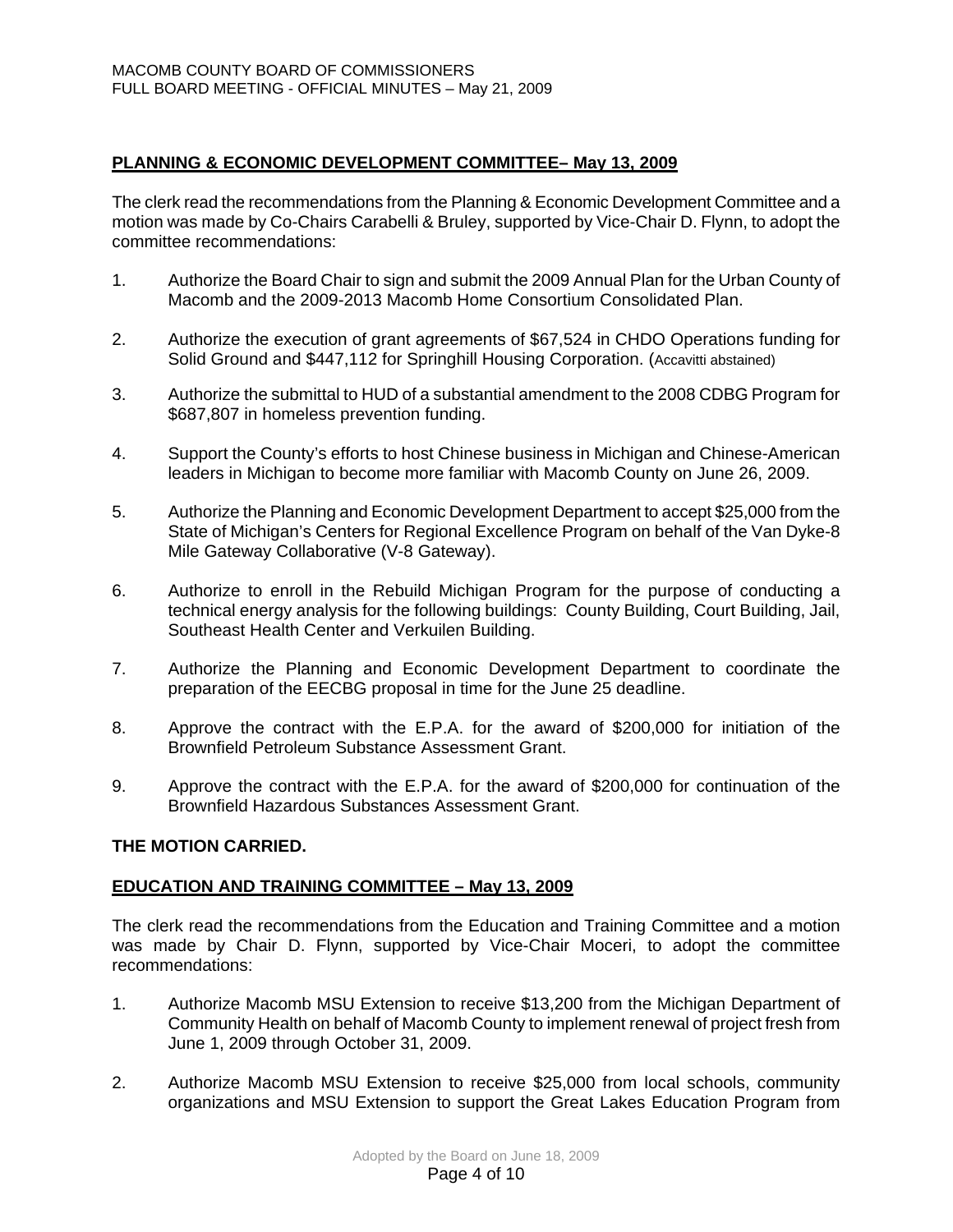# **PLANNING & ECONOMIC DEVELOPMENT COMMITTEE– May 13, 2009**

The clerk read the recommendations from the Planning & Economic Development Committee and a motion was made by Co-Chairs Carabelli & Bruley, supported by Vice-Chair D. Flynn, to adopt the committee recommendations:

- 1. Authorize the Board Chair to sign and submit the 2009 Annual Plan for the Urban County of Macomb and the 2009-2013 Macomb Home Consortium Consolidated Plan.
- 2. Authorize the execution of grant agreements of \$67,524 in CHDO Operations funding for Solid Ground and \$447,112 for Springhill Housing Corporation. (Accavitti abstained)
- 3. Authorize the submittal to HUD of a substantial amendment to the 2008 CDBG Program for \$687,807 in homeless prevention funding.
- 4. Support the County's efforts to host Chinese business in Michigan and Chinese-American leaders in Michigan to become more familiar with Macomb County on June 26, 2009.
- 5. Authorize the Planning and Economic Development Department to accept \$25,000 from the State of Michigan's Centers for Regional Excellence Program on behalf of the Van Dyke-8 Mile Gateway Collaborative (V-8 Gateway).
- 6. Authorize to enroll in the Rebuild Michigan Program for the purpose of conducting a technical energy analysis for the following buildings: County Building, Court Building, Jail, Southeast Health Center and Verkuilen Building.
- 7. Authorize the Planning and Economic Development Department to coordinate the preparation of the EECBG proposal in time for the June 25 deadline.
- 8. Approve the contract with the E.P.A. for the award of \$200,000 for initiation of the Brownfield Petroleum Substance Assessment Grant.
- 9. Approve the contract with the E.P.A. for the award of \$200,000 for continuation of the Brownfield Hazardous Substances Assessment Grant.

## **THE MOTION CARRIED.**

## **EDUCATION AND TRAINING COMMITTEE – May 13, 2009**

The clerk read the recommendations from the Education and Training Committee and a motion was made by Chair D. Flynn, supported by Vice-Chair Moceri, to adopt the committee recommendations:

- 1. Authorize Macomb MSU Extension to receive \$13,200 from the Michigan Department of Community Health on behalf of Macomb County to implement renewal of project fresh from June 1, 2009 through October 31, 2009.
- 2. Authorize Macomb MSU Extension to receive \$25,000 from local schools, community organizations and MSU Extension to support the Great Lakes Education Program from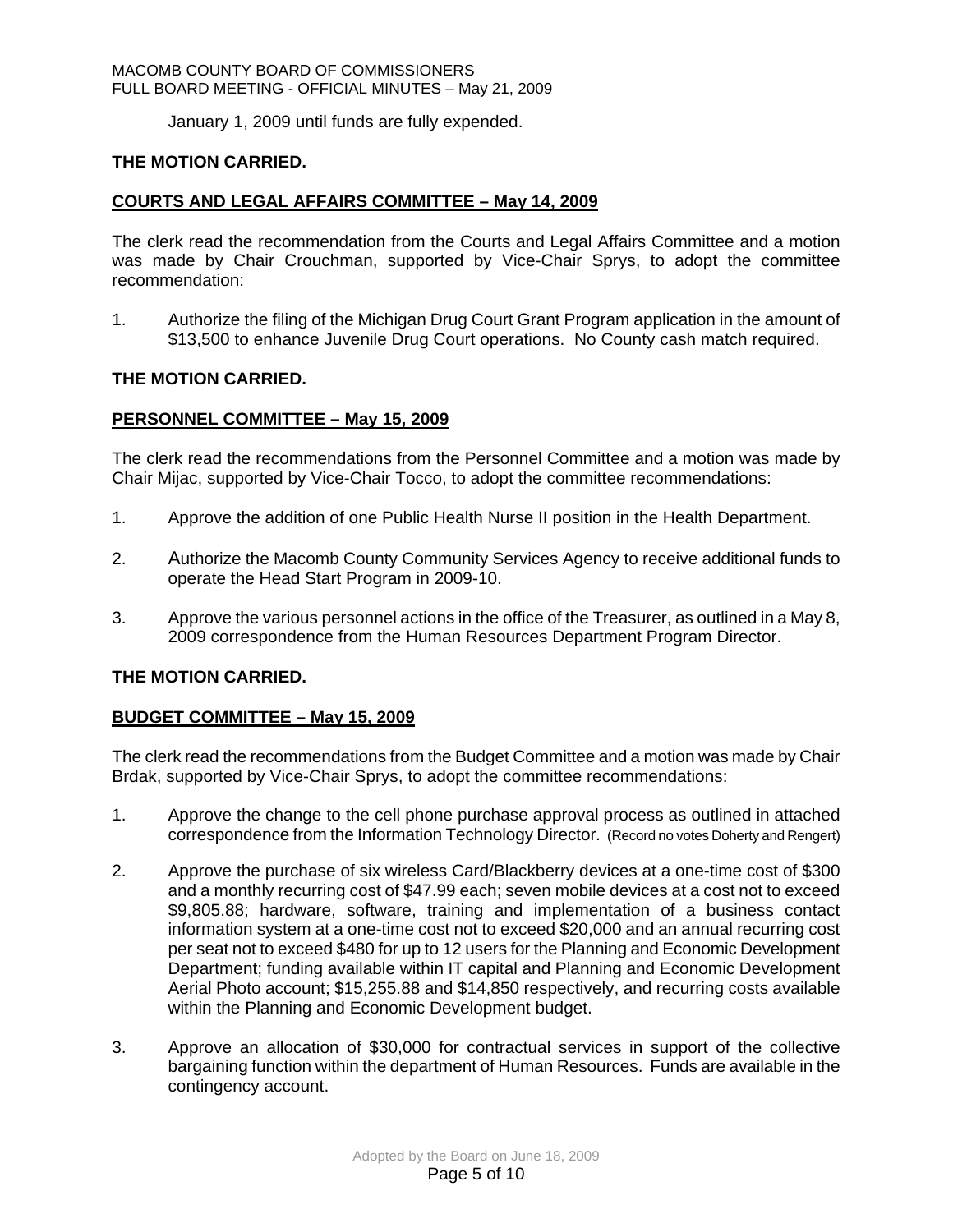January 1, 2009 until funds are fully expended.

## **THE MOTION CARRIED.**

## **COURTS AND LEGAL AFFAIRS COMMITTEE – May 14, 2009**

The clerk read the recommendation from the Courts and Legal Affairs Committee and a motion was made by Chair Crouchman, supported by Vice-Chair Sprys, to adopt the committee recommendation:

1. Authorize the filing of the Michigan Drug Court Grant Program application in the amount of \$13,500 to enhance Juvenile Drug Court operations. No County cash match required.

## **THE MOTION CARRIED.**

## **PERSONNEL COMMITTEE – May 15, 2009**

The clerk read the recommendations from the Personnel Committee and a motion was made by Chair Mijac, supported by Vice-Chair Tocco, to adopt the committee recommendations:

- 1. Approve the addition of one Public Health Nurse II position in the Health Department.
- 2. Authorize the Macomb County Community Services Agency to receive additional funds to operate the Head Start Program in 2009-10.
- 3. Approve the various personnel actions in the office of the Treasurer, as outlined in a May 8, 2009 correspondence from the Human Resources Department Program Director.

# **THE MOTION CARRIED.**

## **BUDGET COMMITTEE – May 15, 2009**

The clerk read the recommendations from the Budget Committee and a motion was made by Chair Brdak, supported by Vice-Chair Sprys, to adopt the committee recommendations:

- 1. Approve the change to the cell phone purchase approval process as outlined in attached correspondence from the Information Technology Director. (Record no votes Doherty and Rengert)
- 2.Approve the purchase of six wireless Card/Blackberry devices at a one-time cost of \$300 and a monthly recurring cost of \$47.99 each; seven mobile devices at a cost not to exceed \$9,805.88; hardware, software, training and implementation of a business contact information system at a one-time cost not to exceed \$20,000 and an annual recurring cost per seat not to exceed \$480 for up to 12 users for the Planning and Economic Development Department; funding available within IT capital and Planning and Economic Development Aerial Photo account; \$15,255.88 and \$14,850 respectively, and recurring costs available within the Planning and Economic Development budget.
- 3. Approve an allocation of \$30,000 for contractual services in support of the collective bargaining function within the department of Human Resources. Funds are available in the contingency account.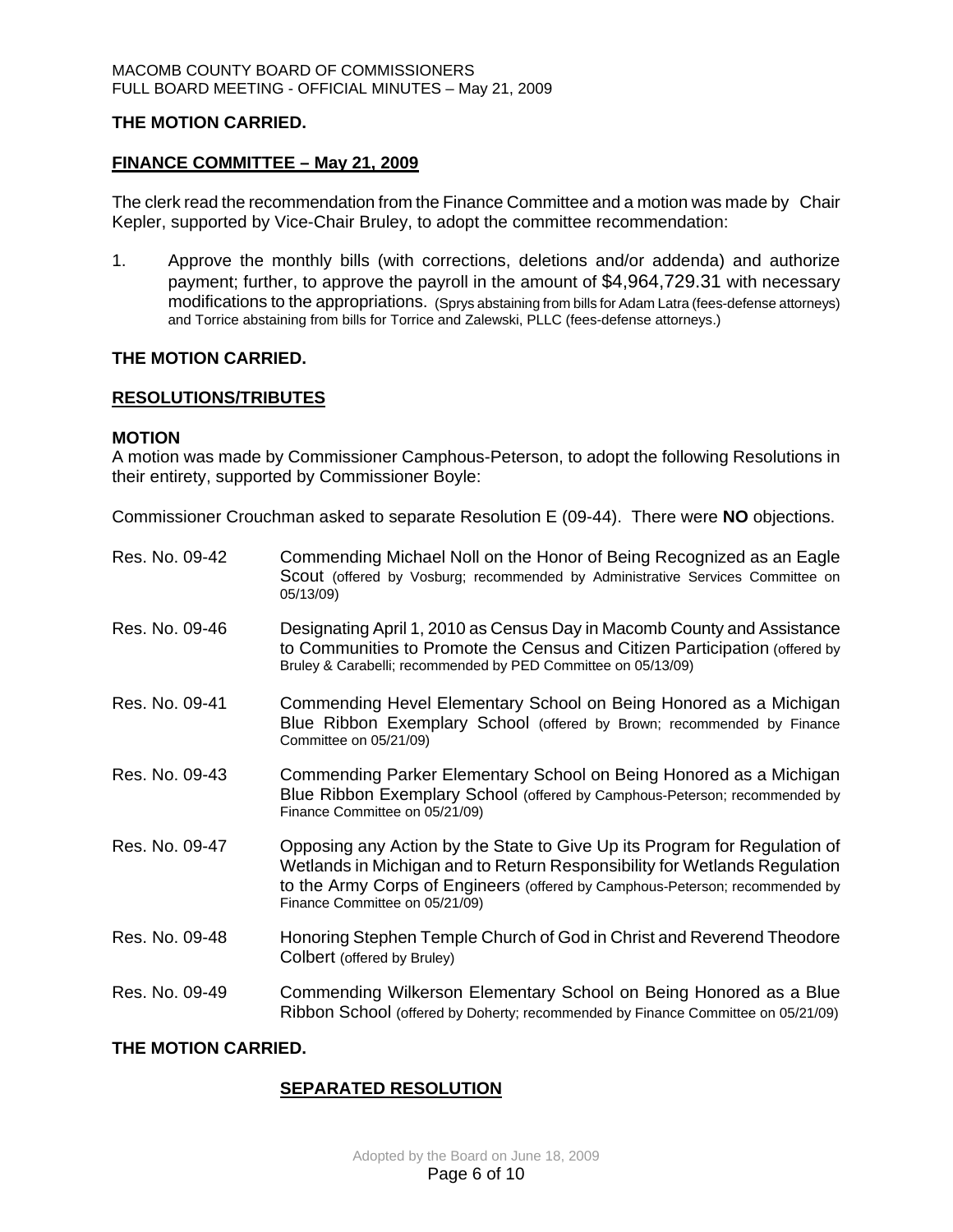## **THE MOTION CARRIED.**

## **FINANCE COMMITTEE – May 21, 2009**

The clerk read the recommendation from the Finance Committee and a motion was made by Chair Kepler, supported by Vice-Chair Bruley, to adopt the committee recommendation:

1. Approve the monthly bills (with corrections, deletions and/or addenda) and authorize payment; further, to approve the payroll in the amount of \$4,964,729.31 with necessary modifications to the appropriations. (Sprys abstaining from bills for Adam Latra (fees-defense attorneys) and Torrice abstaining from bills for Torrice and Zalewski, PLLC (fees-defense attorneys.)

## **THE MOTION CARRIED.**

## **RESOLUTIONS/TRIBUTES**

## **MOTION**

A motion was made by Commissioner Camphous-Peterson, to adopt the following Resolutions in their entirety, supported by Commissioner Boyle:

Commissioner Crouchman asked to separate Resolution E (09-44). There were **NO** objections.

| Res. No. 09-42      | Commending Michael Noll on the Honor of Being Recognized as an Eagle<br>Scout (offered by Vosburg; recommended by Administrative Services Committee on<br>05/13/09)                                                                                                      |  |  |  |
|---------------------|--------------------------------------------------------------------------------------------------------------------------------------------------------------------------------------------------------------------------------------------------------------------------|--|--|--|
| Res. No. 09-46      | Designating April 1, 2010 as Census Day in Macomb County and Assistance<br>to Communities to Promote the Census and Citizen Participation (offered by<br>Bruley & Carabelli; recommended by PED Committee on 05/13/09)                                                   |  |  |  |
| Res. No. 09-41      | Commending Hevel Elementary School on Being Honored as a Michigan<br>Blue Ribbon Exemplary School (offered by Brown; recommended by Finance<br>Committee on 05/21/09)                                                                                                    |  |  |  |
| Res. No. 09-43      | Commending Parker Elementary School on Being Honored as a Michigan<br>Blue Ribbon Exemplary School (offered by Camphous-Peterson; recommended by<br>Finance Committee on 05/21/09)                                                                                       |  |  |  |
| Res. No. 09-47      | Opposing any Action by the State to Give Up its Program for Regulation of<br>Wetlands in Michigan and to Return Responsibility for Wetlands Regulation<br>to the Army Corps of Engineers (offered by Camphous-Peterson; recommended by<br>Finance Committee on 05/21/09) |  |  |  |
| Res. No. 09-48      | Honoring Stephen Temple Church of God in Christ and Reverend Theodore<br>Colbert (offered by Bruley)                                                                                                                                                                     |  |  |  |
| Res. No. 09-49      | Commending Wilkerson Elementary School on Being Honored as a Blue<br>Ribbon School (offered by Doherty; recommended by Finance Committee on 05/21/09)                                                                                                                    |  |  |  |
| THE MOTION CARRIED. |                                                                                                                                                                                                                                                                          |  |  |  |

# **SEPARATED RESOLUTION**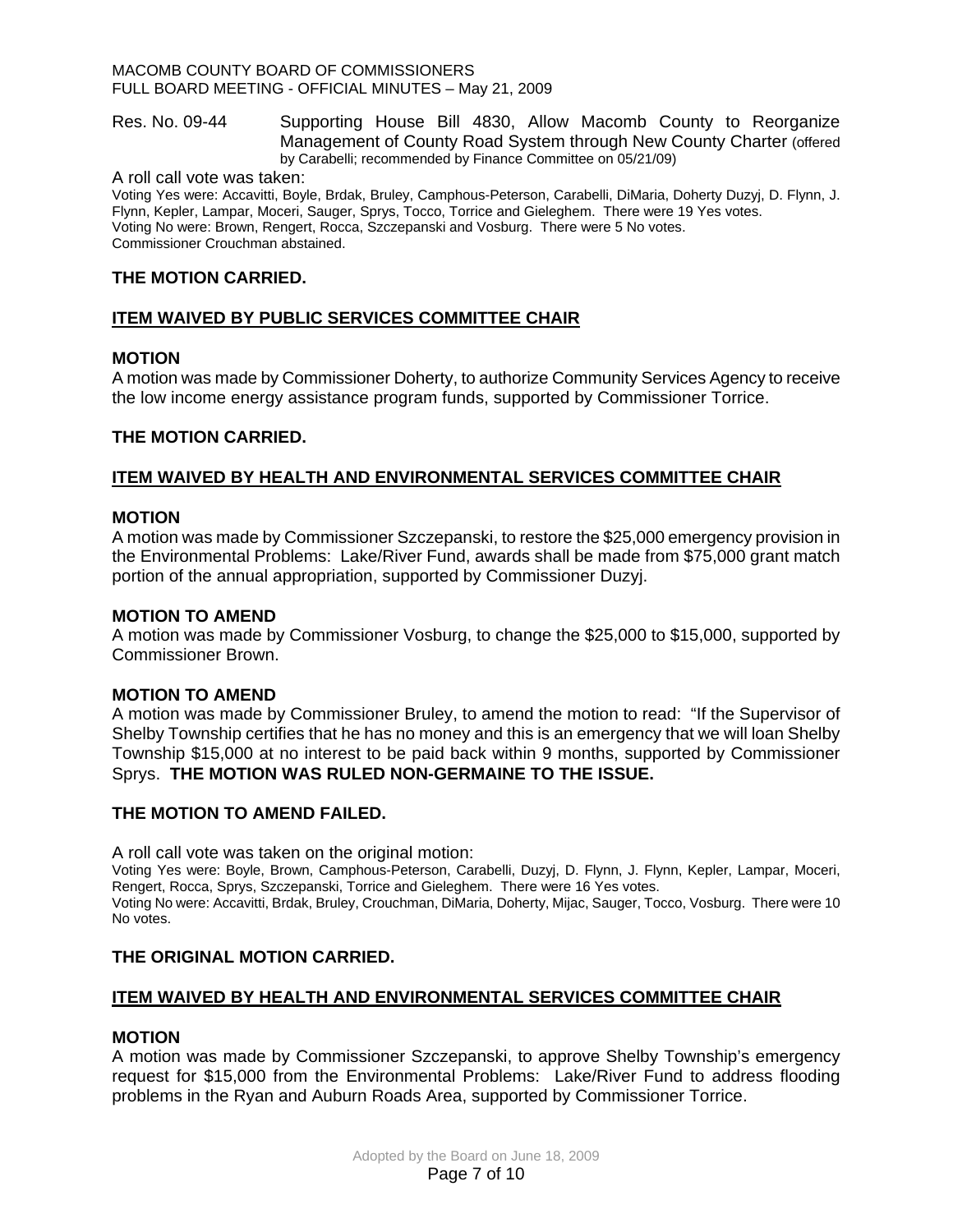Res. No. 09-44 Supporting House Bill 4830, Allow Macomb County to Reorganize Management of County Road System through New County Charter (offered by Carabelli; recommended by Finance Committee on 05/21/09)

A roll call vote was taken:

Voting Yes were: Accavitti, Boyle, Brdak, Bruley, Camphous-Peterson, Carabelli, DiMaria, Doherty Duzyj, D. Flynn, J. Flynn, Kepler, Lampar, Moceri, Sauger, Sprys, Tocco, Torrice and Gieleghem. There were 19 Yes votes. Voting No were: Brown, Rengert, Rocca, Szczepanski and Vosburg. There were 5 No votes. Commissioner Crouchman abstained.

# **THE MOTION CARRIED.**

# **ITEM WAIVED BY PUBLIC SERVICES COMMITTEE CHAIR**

## **MOTION**

A motion was made by Commissioner Doherty, to authorize Community Services Agency to receive the low income energy assistance program funds, supported by Commissioner Torrice.

## **THE MOTION CARRIED.**

## **ITEM WAIVED BY HEALTH AND ENVIRONMENTAL SERVICES COMMITTEE CHAIR**

### **MOTION**

A motion was made by Commissioner Szczepanski, to restore the \$25,000 emergency provision in the Environmental Problems: Lake/River Fund, awards shall be made from \$75,000 grant match portion of the annual appropriation, supported by Commissioner Duzyj.

### **MOTION TO AMEND**

A motion was made by Commissioner Vosburg, to change the \$25,000 to \$15,000, supported by Commissioner Brown.

## **MOTION TO AMEND**

A motion was made by Commissioner Bruley, to amend the motion to read: "If the Supervisor of Shelby Township certifies that he has no money and this is an emergency that we will loan Shelby Township \$15,000 at no interest to be paid back within 9 months, supported by Commissioner Sprys. **THE MOTION WAS RULED NON-GERMAINE TO THE ISSUE.** 

## **THE MOTION TO AMEND FAILED.**

A roll call vote was taken on the original motion:

Voting Yes were: Boyle, Brown, Camphous-Peterson, Carabelli, Duzyj, D. Flynn, J. Flynn, Kepler, Lampar, Moceri, Rengert, Rocca, Sprys, Szczepanski, Torrice and Gieleghem. There were 16 Yes votes. Voting No were: Accavitti, Brdak, Bruley, Crouchman, DiMaria, Doherty, Mijac, Sauger, Tocco, Vosburg. There were 10 No votes.

## **THE ORIGINAL MOTION CARRIED.**

## **ITEM WAIVED BY HEALTH AND ENVIRONMENTAL SERVICES COMMITTEE CHAIR**

#### **MOTION**

A motion was made by Commissioner Szczepanski, to approve Shelby Township's emergency request for \$15,000 from the Environmental Problems: Lake/River Fund to address flooding problems in the Ryan and Auburn Roads Area, supported by Commissioner Torrice.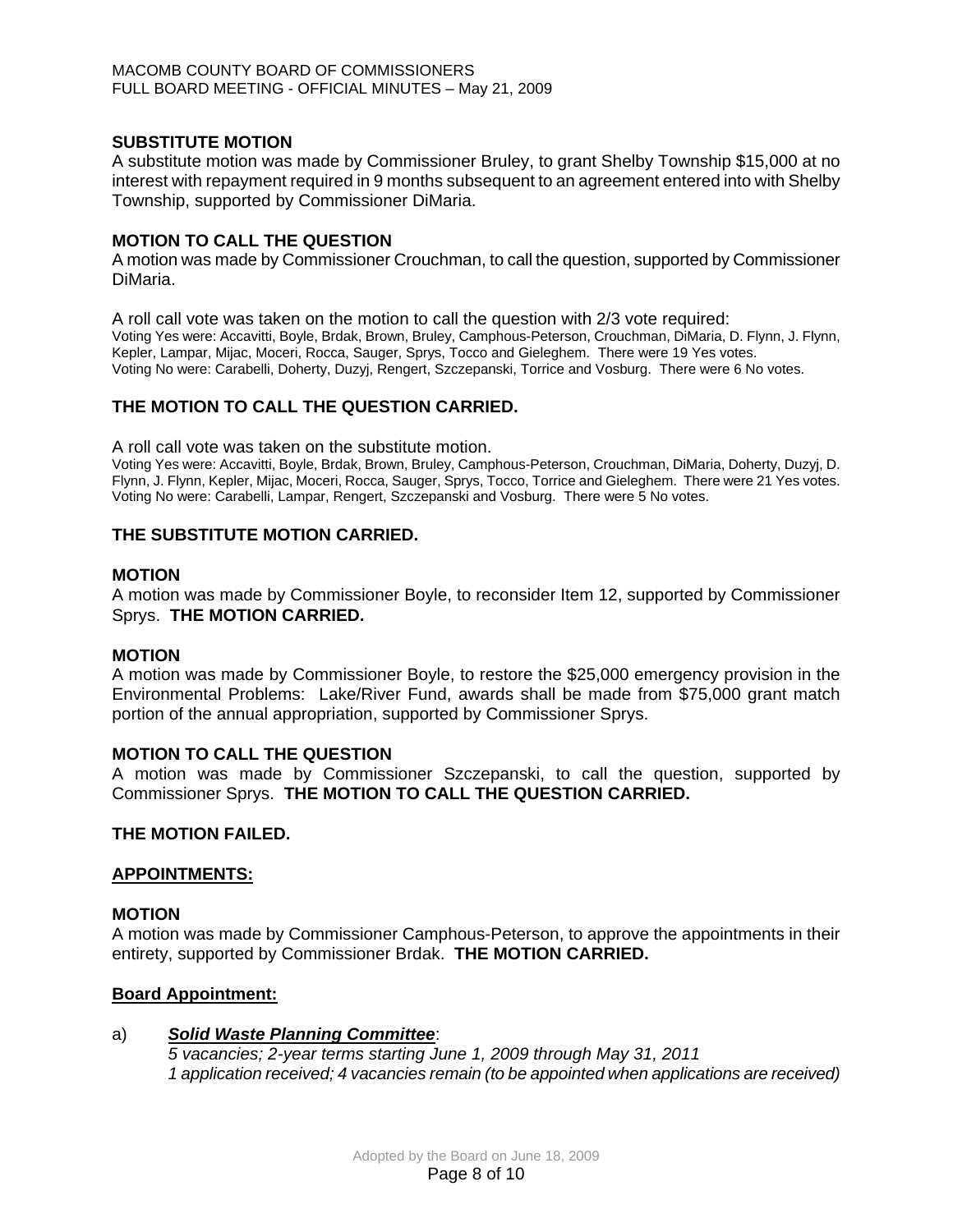## **SUBSTITUTE MOTION**

A substitute motion was made by Commissioner Bruley, to grant Shelby Township \$15,000 at no interest with repayment required in 9 months subsequent to an agreement entered into with Shelby Township, supported by Commissioner DiMaria.

# **MOTION TO CALL THE QUESTION**

A motion was made by Commissioner Crouchman, to call the question, supported by Commissioner DiMaria.

A roll call vote was taken on the motion to call the question with 2/3 vote required: Voting Yes were: Accavitti, Boyle, Brdak, Brown, Bruley, Camphous-Peterson, Crouchman, DiMaria, D. Flynn, J. Flynn, Kepler, Lampar, Mijac, Moceri, Rocca, Sauger, Sprys, Tocco and Gieleghem. There were 19 Yes votes. Voting No were: Carabelli, Doherty, Duzyj, Rengert, Szczepanski, Torrice and Vosburg. There were 6 No votes.

## **THE MOTION TO CALL THE QUESTION CARRIED.**

A roll call vote was taken on the substitute motion.

Voting Yes were: Accavitti, Boyle, Brdak, Brown, Bruley, Camphous-Peterson, Crouchman, DiMaria, Doherty, Duzyj, D. Flynn, J. Flynn, Kepler, Mijac, Moceri, Rocca, Sauger, Sprys, Tocco, Torrice and Gieleghem. There were 21 Yes votes. Voting No were: Carabelli, Lampar, Rengert, Szczepanski and Vosburg. There were 5 No votes.

## **THE SUBSTITUTE MOTION CARRIED.**

### **MOTION**

A motion was made by Commissioner Boyle, to reconsider Item 12, supported by Commissioner Sprys. **THE MOTION CARRIED.** 

## **MOTION**

A motion was made by Commissioner Boyle, to restore the \$25,000 emergency provision in the Environmental Problems: Lake/River Fund, awards shall be made from \$75,000 grant match portion of the annual appropriation, supported by Commissioner Sprys.

## **MOTION TO CALL THE QUESTION**

A motion was made by Commissioner Szczepanski, to call the question, supported by Commissioner Sprys. **THE MOTION TO CALL THE QUESTION CARRIED.** 

## **THE MOTION FAILED.**

## **APPOINTMENTS:**

#### **MOTION**

A motion was made by Commissioner Camphous-Peterson, to approve the appointments in their entirety, supported by Commissioner Brdak. **THE MOTION CARRIED.** 

## **Board Appointment:**

## a)*Solid Waste Planning Committee*:

*5 vacancies; 2-year terms starting June 1, 2009 through May 31, 2011 1 application received; 4 vacancies remain (to be appointed when applications are received)*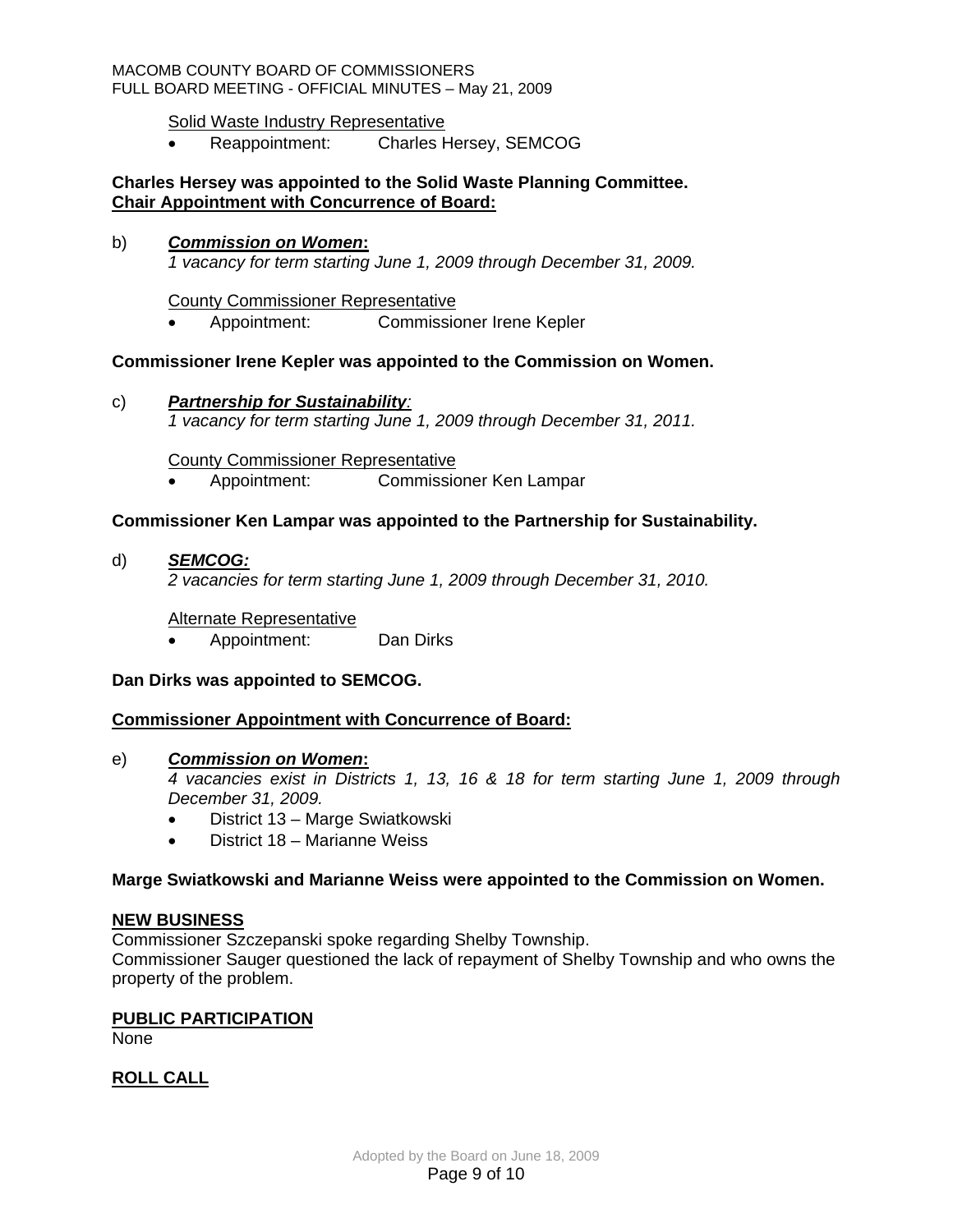## Solid Waste Industry Representative

• Reappointment: Charles Hersey, SEMCOG

## **Charles Hersey was appointed to the Solid Waste Planning Committee. Chair Appointment with Concurrence of Board:**

#### b) *Commission on Women***:**

*1 vacancy for term starting June 1, 2009 through December 31, 2009.* 

County Commissioner Representative

• Appointment: Commissioner Irene Kepler

### **Commissioner Irene Kepler was appointed to the Commission on Women.**

c) *Partnership for Sustainability: 1 vacancy for term starting June 1, 2009 through December 31, 2011.* 

County Commissioner Representative

• Appointment: Commissioner Ken Lampar

## **Commissioner Ken Lampar was appointed to the Partnership for Sustainability.**

d) *SEMCOG:*

*2 vacancies for term starting June 1, 2009 through December 31, 2010.* 

#### Alternate Representative

• Appointment: Dan Dirks

## **Dan Dirks was appointed to SEMCOG.**

## **Commissioner Appointment with Concurrence of Board:**

#### e) *Commission on Women***:**

*4 vacancies exist in Districts 1, 13, 16 & 18 for term starting June 1, 2009 through December 31, 2009.* 

- District 13 Marge Swiatkowski
- District 18 Marianne Weiss

## **Marge Swiatkowski and Marianne Weiss were appointed to the Commission on Women.**

#### **NEW BUSINESS**

Commissioner Szczepanski spoke regarding Shelby Township.

Commissioner Sauger questioned the lack of repayment of Shelby Township and who owns the property of the problem.

#### **PUBLIC PARTICIPATION**

None

# **ROLL CALL**